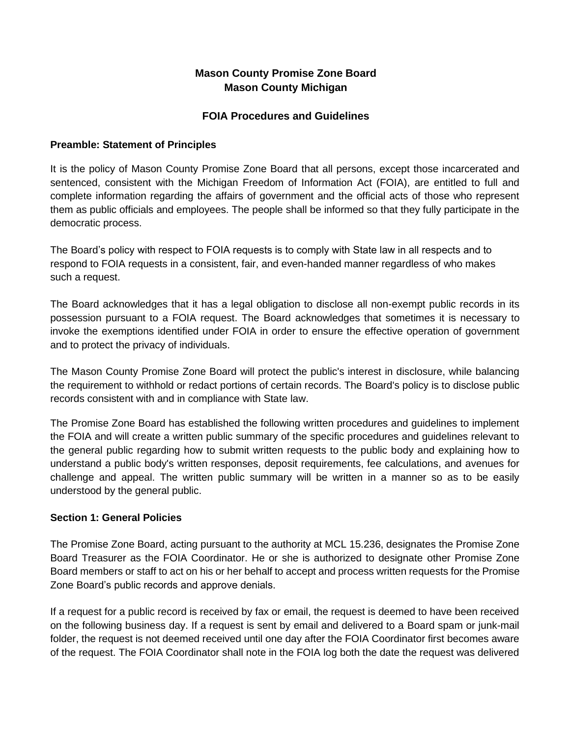# **Mason County Promise Zone Board Mason County Michigan**

## **FOIA Procedures and Guidelines**

## **Preamble: Statement of Principles**

It is the policy of Mason County Promise Zone Board that all persons, except those incarcerated and sentenced, consistent with the Michigan Freedom of Information Act (FOIA), are entitled to full and complete information regarding the affairs of government and the official acts of those who represent them as public officials and employees. The people shall be informed so that they fully participate in the democratic process.

The Board's policy with respect to FOIA requests is to comply with State law in all respects and to respond to FOIA requests in a consistent, fair, and even-handed manner regardless of who makes such a request.

The Board acknowledges that it has a legal obligation to disclose all non-exempt public records in its possession pursuant to a FOIA request. The Board acknowledges that sometimes it is necessary to invoke the exemptions identified under FOIA in order to ensure the effective operation of government and to protect the privacy of individuals.

The Mason County Promise Zone Board will protect the public's interest in disclosure, while balancing the requirement to withhold or redact portions of certain records. The Board's policy is to disclose public records consistent with and in compliance with State law.

The Promise Zone Board has established the following written procedures and guidelines to implement the FOIA and will create a written public summary of the specific procedures and guidelines relevant to the general public regarding how to submit written requests to the public body and explaining how to understand a public body's written responses, deposit requirements, fee calculations, and avenues for challenge and appeal. The written public summary will be written in a manner so as to be easily understood by the general public.

#### **Section 1: General Policies**

The Promise Zone Board, acting pursuant to the authority at MCL 15.236, designates the Promise Zone Board Treasurer as the FOIA Coordinator. He or she is authorized to designate other Promise Zone Board members or staff to act on his or her behalf to accept and process written requests for the Promise Zone Board's public records and approve denials.

If a request for a public record is received by fax or email, the request is deemed to have been received on the following business day. If a request is sent by email and delivered to a Board spam or junk-mail folder, the request is not deemed received until one day after the FOIA Coordinator first becomes aware of the request. The FOIA Coordinator shall note in the FOIA log both the date the request was delivered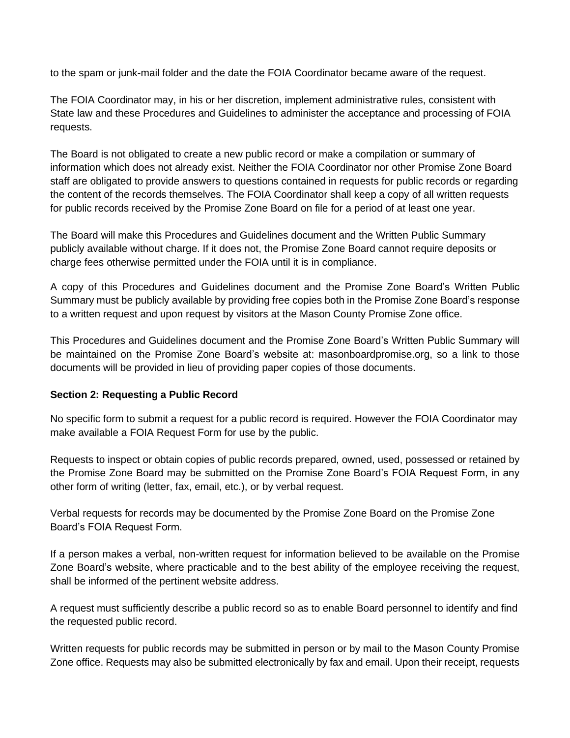to the spam or junk-mail folder and the date the FOIA Coordinator became aware of the request.

The FOIA Coordinator may, in his or her discretion, implement administrative rules, consistent with State law and these Procedures and Guidelines to administer the acceptance and processing of FOIA requests.

The Board is not obligated to create a new public record or make a compilation or summary of information which does not already exist. Neither the FOIA Coordinator nor other Promise Zone Board staff are obligated to provide answers to questions contained in requests for public records or regarding the content of the records themselves. The FOIA Coordinator shall keep a copy of all written requests for public records received by the Promise Zone Board on file for a period of at least one year.

The Board will make this Procedures and Guidelines document and the Written Public Summary publicly available without charge. If it does not, the Promise Zone Board cannot require deposits or charge fees otherwise permitted under the FOIA until it is in compliance.

A copy of this Procedures and Guidelines document and the Promise Zone Board's Written Public Summary must be publicly available by providing free copies both in the Promise Zone Board's response to a written request and upon request by visitors at the Mason County Promise Zone office.

This Procedures and Guidelines document and the Promise Zone Board's Written Public Summary will be maintained on the Promise Zone Board's website at: masonboardpromise.org, so a link to those documents will be provided in lieu of providing paper copies of those documents.

#### **Section 2: Requesting a Public Record**

No specific form to submit a request for a public record is required. However the FOIA Coordinator may make available a FOIA Request Form for use by the public.

Requests to inspect or obtain copies of public records prepared, owned, used, possessed or retained by the Promise Zone Board may be submitted on the Promise Zone Board's FOIA Request Form, in any other form of writing (letter, fax, email, etc.), or by verbal request.

Verbal requests for records may be documented by the Promise Zone Board on the Promise Zone Board's FOIA Request Form.

If a person makes a verbal, non-written request for information believed to be available on the Promise Zone Board's website, where practicable and to the best ability of the employee receiving the request, shall be informed of the pertinent website address.

A request must sufficiently describe a public record so as to enable Board personnel to identify and find the requested public record.

Written requests for public records may be submitted in person or by mail to the Mason County Promise Zone office. Requests may also be submitted electronically by fax and email. Upon their receipt, requests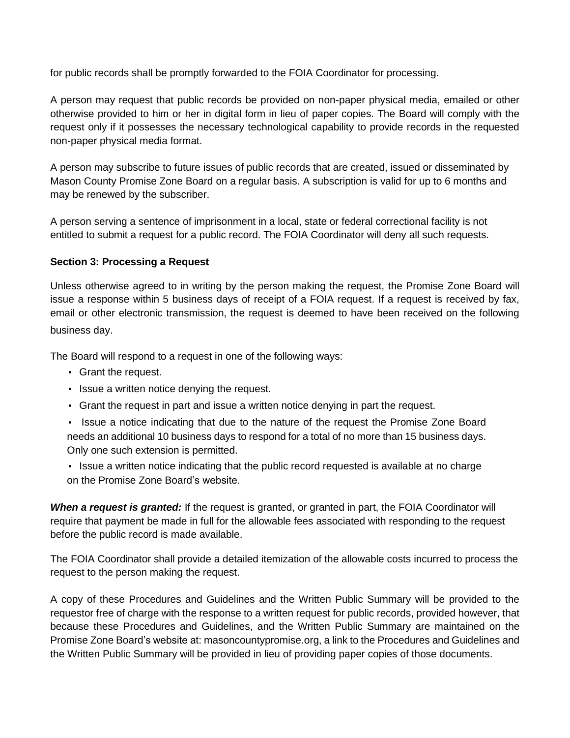for public records shall be promptly forwarded to the FOIA Coordinator for processing.

A person may request that public records be provided on non-paper physical media, emailed or other otherwise provided to him or her in digital form in lieu of paper copies. The Board will comply with the request only if it possesses the necessary technological capability to provide records in the requested non-paper physical media format.

A person may subscribe to future issues of public records that are created, issued or disseminated by Mason County Promise Zone Board on a regular basis. A subscription is valid for up to 6 months and may be renewed by the subscriber.

A person serving a sentence of imprisonment in a local, state or federal correctional facility is not entitled to submit a request for a public record. The FOIA Coordinator will deny all such requests.

## **Section 3: Processing a Request**

Unless otherwise agreed to in writing by the person making the request, the Promise Zone Board will issue a response within 5 business days of receipt of a FOIA request. If a request is received by fax, email or other electronic transmission, the request is deemed to have been received on the following business day.

The Board will respond to a request in one of the following ways:

- Grant the request.
- Issue a written notice denying the request.
- Grant the request in part and issue a written notice denying in part the request.
- Issue a notice indicating that due to the nature of the request the Promise Zone Board needs an additional 10 business days to respond for a total of no more than 15 business days. Only one such extension is permitted.
- Issue a written notice indicating that the public record requested is available at no charge on the Promise Zone Board's website.

*When a request is granted:* If the request is granted, or granted in part, the FOIA Coordinator will require that payment be made in full for the allowable fees associated with responding to the request before the public record is made available.

The FOIA Coordinator shall provide a detailed itemization of the allowable costs incurred to process the request to the person making the request.

A copy of these Procedures and Guidelines and the Written Public Summary will be provided to the requestor free of charge with the response to a written request for public records, provided however, that because these Procedures and Guidelines, and the Written Public Summary are maintained on the Promise Zone Board's website at: masoncountypromise.org, a link to the Procedures and Guidelines and the Written Public Summary will be provided in lieu of providing paper copies of those documents.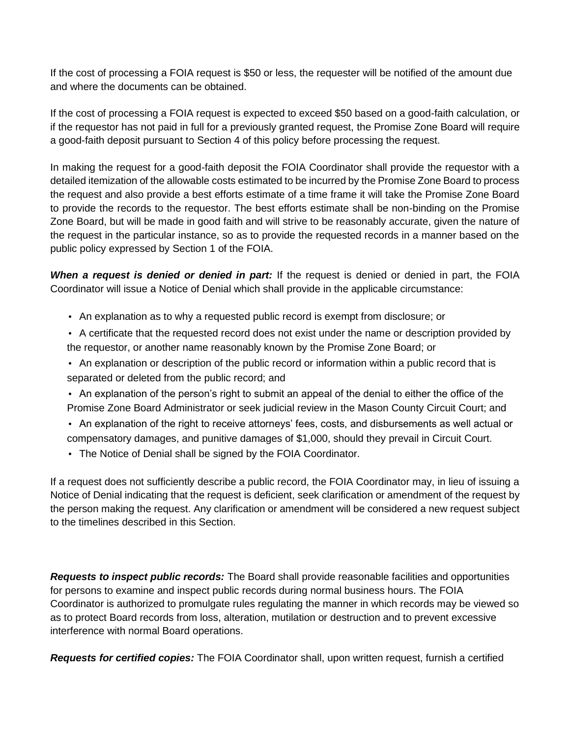If the cost of processing a FOIA request is \$50 or less, the requester will be notified of the amount due and where the documents can be obtained.

If the cost of processing a FOIA request is expected to exceed \$50 based on a good-faith calculation, or if the requestor has not paid in full for a previously granted request, the Promise Zone Board will require a good-faith deposit pursuant to Section 4 of this policy before processing the request.

In making the request for a good-faith deposit the FOIA Coordinator shall provide the requestor with a detailed itemization of the allowable costs estimated to be incurred by the Promise Zone Board to process the request and also provide a best efforts estimate of a time frame it will take the Promise Zone Board to provide the records to the requestor. The best efforts estimate shall be non-binding on the Promise Zone Board, but will be made in good faith and will strive to be reasonably accurate, given the nature of the request in the particular instance, so as to provide the requested records in a manner based on the public policy expressed by Section 1 of the FOIA.

**When a request is denied or denied in part:** If the request is denied or denied in part, the FOIA Coordinator will issue a Notice of Denial which shall provide in the applicable circumstance:

- An explanation as to why a requested public record is exempt from disclosure; or
- A certificate that the requested record does not exist under the name or description provided by the requestor, or another name reasonably known by the Promise Zone Board; or
- An explanation or description of the public record or information within a public record that is separated or deleted from the public record; and
- An explanation of the person's right to submit an appeal of the denial to either the office of the Promise Zone Board Administrator or seek judicial review in the Mason County Circuit Court; and
- An explanation of the right to receive attorneys' fees, costs, and disbursements as well actual or compensatory damages, and punitive damages of \$1,000, should they prevail in Circuit Court.
- The Notice of Denial shall be signed by the FOIA Coordinator.

If a request does not sufficiently describe a public record, the FOIA Coordinator may, in lieu of issuing a Notice of Denial indicating that the request is deficient, seek clarification or amendment of the request by the person making the request. Any clarification or amendment will be considered a new request subject to the timelines described in this Section.

*Requests to inspect public records:* The Board shall provide reasonable facilities and opportunities for persons to examine and inspect public records during normal business hours. The FOIA Coordinator is authorized to promulgate rules regulating the manner in which records may be viewed so as to protect Board records from loss, alteration, mutilation or destruction and to prevent excessive interference with normal Board operations.

*Requests for certified copies:* The FOIA Coordinator shall, upon written request, furnish a certified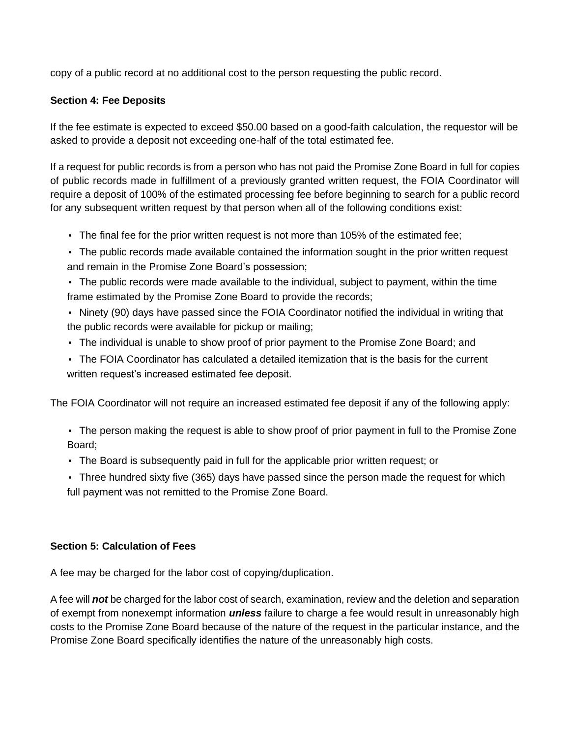copy of a public record at no additional cost to the person requesting the public record.

## **Section 4: Fee Deposits**

If the fee estimate is expected to exceed \$50.00 based on a good-faith calculation, the requestor will be asked to provide a deposit not exceeding one-half of the total estimated fee.

If a request for public records is from a person who has not paid the Promise Zone Board in full for copies of public records made in fulfillment of a previously granted written request, the FOIA Coordinator will require a deposit of 100% of the estimated processing fee before beginning to search for a public record for any subsequent written request by that person when all of the following conditions exist:

- The final fee for the prior written request is not more than 105% of the estimated fee;
- The public records made available contained the information sought in the prior written request and remain in the Promise Zone Board's possession;
- The public records were made available to the individual, subject to payment, within the time frame estimated by the Promise Zone Board to provide the records;
- Ninety (90) days have passed since the FOIA Coordinator notified the individual in writing that the public records were available for pickup or mailing;
- The individual is unable to show proof of prior payment to the Promise Zone Board; and
- The FOIA Coordinator has calculated a detailed itemization that is the basis for the current written request's increased estimated fee deposit.

The FOIA Coordinator will not require an increased estimated fee deposit if any of the following apply:

• The person making the request is able to show proof of prior payment in full to the Promise Zone Board;

- The Board is subsequently paid in full for the applicable prior written request; or
- Three hundred sixty five (365) days have passed since the person made the request for which full payment was not remitted to the Promise Zone Board.

#### **Section 5: Calculation of Fees**

A fee may be charged for the labor cost of copying/duplication.

A fee will *not* be charged for the labor cost of search, examination, review and the deletion and separation of exempt from nonexempt information *unless* failure to charge a fee would result in unreasonably high costs to the Promise Zone Board because of the nature of the request in the particular instance, and the Promise Zone Board specifically identifies the nature of the unreasonably high costs.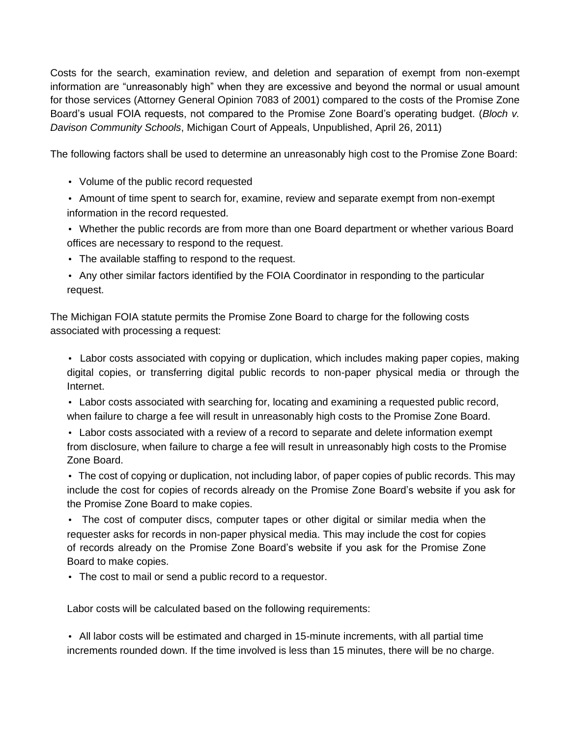Costs for the search, examination review, and deletion and separation of exempt from non-exempt information are "unreasonably high" when they are excessive and beyond the normal or usual amount for those services (Attorney General Opinion 7083 of 2001) compared to the costs of the Promise Zone Board's usual FOIA requests, not compared to the Promise Zone Board's operating budget. (*Bloch v. Davison Community Schools*, Michigan Court of Appeals, Unpublished, April 26, 2011)

The following factors shall be used to determine an unreasonably high cost to the Promise Zone Board:

- Volume of the public record requested
- Amount of time spent to search for, examine, review and separate exempt from non-exempt information in the record requested.
- Whether the public records are from more than one Board department or whether various Board offices are necessary to respond to the request.
- The available staffing to respond to the request.
- Any other similar factors identified by the FOIA Coordinator in responding to the particular request.

The Michigan FOIA statute permits the Promise Zone Board to charge for the following costs associated with processing a request:

• Labor costs associated with copying or duplication, which includes making paper copies, making digital copies, or transferring digital public records to non-paper physical media or through the Internet.

• Labor costs associated with searching for, locating and examining a requested public record, when failure to charge a fee will result in unreasonably high costs to the Promise Zone Board.

• Labor costs associated with a review of a record to separate and delete information exempt from disclosure, when failure to charge a fee will result in unreasonably high costs to the Promise Zone Board.

• The cost of copying or duplication, not including labor, of paper copies of public records. This may include the cost for copies of records already on the Promise Zone Board's website if you ask for the Promise Zone Board to make copies.

• The cost of computer discs, computer tapes or other digital or similar media when the requester asks for records in non-paper physical media. This may include the cost for copies of records already on the Promise Zone Board's website if you ask for the Promise Zone Board to make copies.

• The cost to mail or send a public record to a requestor.

Labor costs will be calculated based on the following requirements:

• All labor costs will be estimated and charged in 15-minute increments, with all partial time increments rounded down. If the time involved is less than 15 minutes, there will be no charge.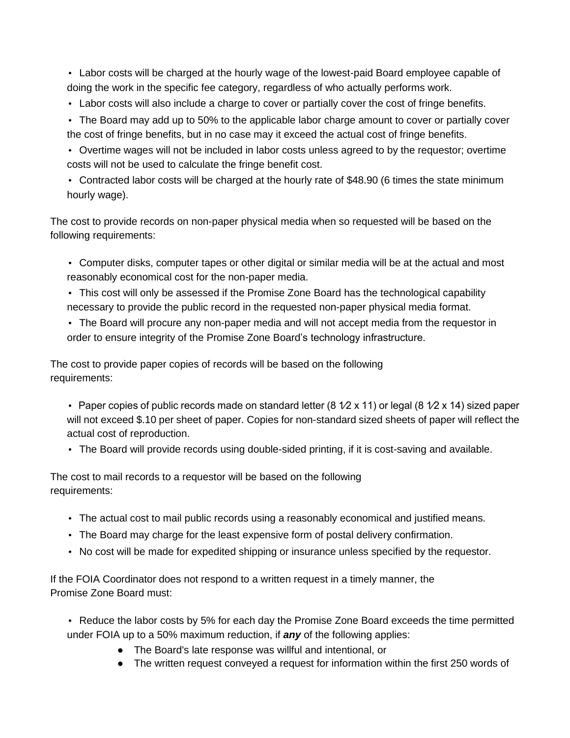• Labor costs will be charged at the hourly wage of the lowest-paid Board employee capable of doing the work in the specific fee category, regardless of who actually performs work.

- Labor costs will also include a charge to cover or partially cover the cost of fringe benefits.
- The Board may add up to 50% to the applicable labor charge amount to cover or partially cover the cost of fringe benefits, but in no case may it exceed the actual cost of fringe benefits.
- Overtime wages will not be included in labor costs unless agreed to by the requestor; overtime costs will not be used to calculate the fringe benefit cost.
- Contracted labor costs will be charged at the hourly rate of \$48.90 (6 times the state minimum hourly wage).

The cost to provide records on non-paper physical media when so requested will be based on the following requirements:

- Computer disks, computer tapes or other digital or similar media will be at the actual and most reasonably economical cost for the non-paper media.
- This cost will only be assessed if the Promise Zone Board has the technological capability necessary to provide the public record in the requested non-paper physical media format.
- The Board will procure any non-paper media and will not accept media from the requestor in order to ensure integrity of the Promise Zone Board's technology infrastructure.

The cost to provide paper copies of records will be based on the following requirements:

- Paper copies of public records made on standard letter  $(8 \sqrt{2} \times 11)$  or legal  $(8 \sqrt{2} \times 14)$  sized paper will not exceed \$.10 per sheet of paper. Copies for non-standard sized sheets of paper will reflect the actual cost of reproduction.
- The Board will provide records using double-sided printing, if it is cost-saving and available.

The cost to mail records to a requestor will be based on the following requirements:

- The actual cost to mail public records using a reasonably economical and justified means.
- The Board may charge for the least expensive form of postal delivery confirmation.
- No cost will be made for expedited shipping or insurance unless specified by the requestor.

If the FOIA Coordinator does not respond to a written request in a timely manner, the Promise Zone Board must:

- Reduce the labor costs by 5% for each day the Promise Zone Board exceeds the time permitted under FOIA up to a 50% maximum reduction, if *any* of the following applies:
	- The Board's late response was willful and intentional, or
	- The written request conveyed a request for information within the first 250 words of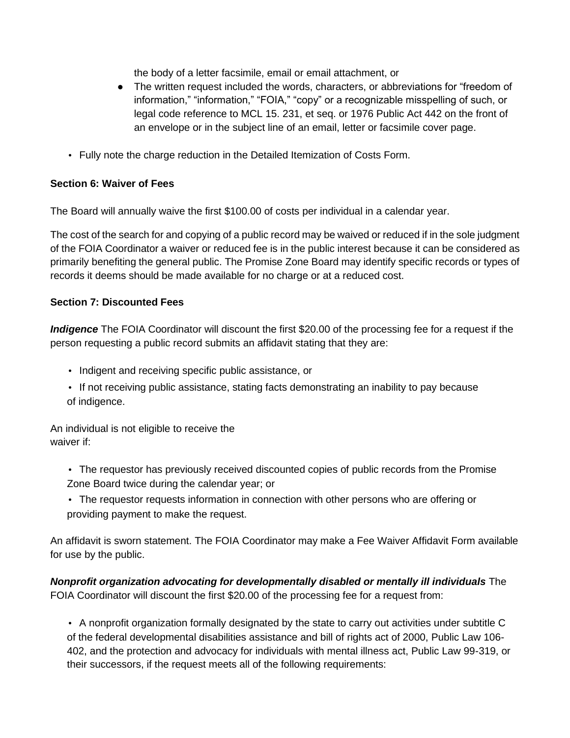the body of a letter facsimile, email or email attachment, or

- The written request included the words, characters, or abbreviations for "freedom of information," "information," "FOIA," "copy" or a recognizable misspelling of such, or legal code reference to MCL 15. 231, et seq. or 1976 Public Act 442 on the front of an envelope or in the subject line of an email, letter or facsimile cover page.
- Fully note the charge reduction in the Detailed Itemization of Costs Form.

## **Section 6: Waiver of Fees**

The Board will annually waive the first \$100.00 of costs per individual in a calendar year.

The cost of the search for and copying of a public record may be waived or reduced if in the sole judgment of the FOIA Coordinator a waiver or reduced fee is in the public interest because it can be considered as primarily benefiting the general public. The Promise Zone Board may identify specific records or types of records it deems should be made available for no charge or at a reduced cost.

## **Section 7: Discounted Fees**

*Indigence* The FOIA Coordinator will discount the first \$20.00 of the processing fee for a request if the person requesting a public record submits an affidavit stating that they are:

- Indigent and receiving specific public assistance, or
- If not receiving public assistance, stating facts demonstrating an inability to pay because of indigence.

An individual is not eligible to receive the waiver if:

- The requestor has previously received discounted copies of public records from the Promise Zone Board twice during the calendar year; or
- The requestor requests information in connection with other persons who are offering or providing payment to make the request.

An affidavit is sworn statement. The FOIA Coordinator may make a Fee Waiver Affidavit Form available for use by the public.

*Nonprofit organization advocating for developmentally disabled or mentally ill individuals* The FOIA Coordinator will discount the first \$20.00 of the processing fee for a request from:

• A nonprofit organization formally designated by the state to carry out activities under subtitle C of the federal developmental disabilities assistance and bill of rights act of 2000, Public Law 106- 402, and the protection and advocacy for individuals with mental illness act, Public Law 99-319, or their successors, if the request meets all of the following requirements: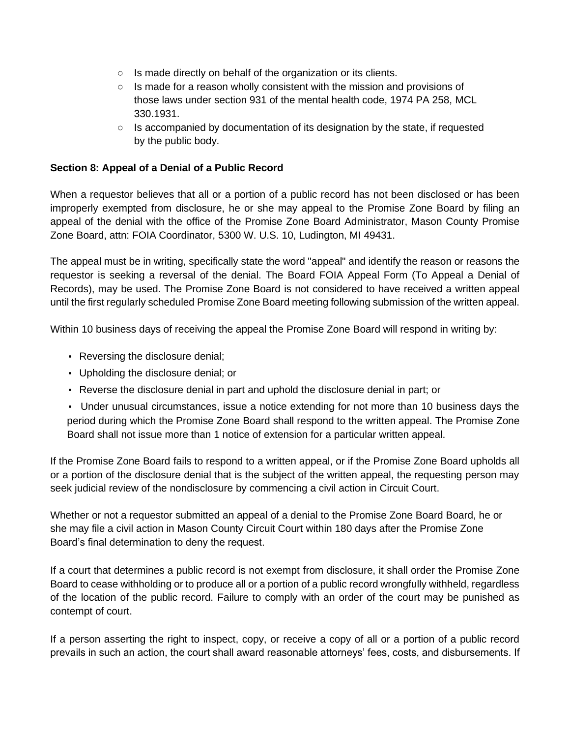- Is made directly on behalf of the organization or its clients.
- Is made for a reason wholly consistent with the mission and provisions of those laws under section 931 of the mental health code, 1974 PA 258, MCL 330.1931.
- $\circ$  Is accompanied by documentation of its designation by the state, if requested by the public body.

## **Section 8: Appeal of a Denial of a Public Record**

When a requestor believes that all or a portion of a public record has not been disclosed or has been improperly exempted from disclosure, he or she may appeal to the Promise Zone Board by filing an appeal of the denial with the office of the Promise Zone Board Administrator, Mason County Promise Zone Board, attn: FOIA Coordinator, 5300 W. U.S. 10, Ludington, MI 49431.

The appeal must be in writing, specifically state the word "appeal" and identify the reason or reasons the requestor is seeking a reversal of the denial. The Board FOIA Appeal Form (To Appeal a Denial of Records), may be used. The Promise Zone Board is not considered to have received a written appeal until the first regularly scheduled Promise Zone Board meeting following submission of the written appeal.

Within 10 business days of receiving the appeal the Promise Zone Board will respond in writing by:

- Reversing the disclosure denial;
- Upholding the disclosure denial; or
- Reverse the disclosure denial in part and uphold the disclosure denial in part; or

• Under unusual circumstances, issue a notice extending for not more than 10 business days the period during which the Promise Zone Board shall respond to the written appeal. The Promise Zone Board shall not issue more than 1 notice of extension for a particular written appeal.

If the Promise Zone Board fails to respond to a written appeal, or if the Promise Zone Board upholds all or a portion of the disclosure denial that is the subject of the written appeal, the requesting person may seek judicial review of the nondisclosure by commencing a civil action in Circuit Court.

Whether or not a requestor submitted an appeal of a denial to the Promise Zone Board Board, he or she may file a civil action in Mason County Circuit Court within 180 days after the Promise Zone Board's final determination to deny the request.

If a court that determines a public record is not exempt from disclosure, it shall order the Promise Zone Board to cease withholding or to produce all or a portion of a public record wrongfully withheld, regardless of the location of the public record. Failure to comply with an order of the court may be punished as contempt of court.

If a person asserting the right to inspect, copy, or receive a copy of all or a portion of a public record prevails in such an action, the court shall award reasonable attorneys' fees, costs, and disbursements. If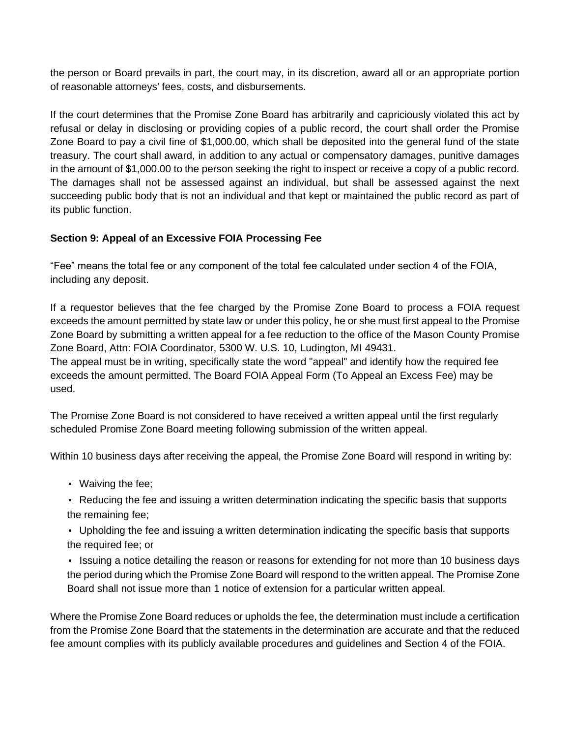the person or Board prevails in part, the court may, in its discretion, award all or an appropriate portion of reasonable attorneys' fees, costs, and disbursements.

If the court determines that the Promise Zone Board has arbitrarily and capriciously violated this act by refusal or delay in disclosing or providing copies of a public record, the court shall order the Promise Zone Board to pay a civil fine of \$1,000.00, which shall be deposited into the general fund of the state treasury. The court shall award, in addition to any actual or compensatory damages, punitive damages in the amount of \$1,000.00 to the person seeking the right to inspect or receive a copy of a public record. The damages shall not be assessed against an individual, but shall be assessed against the next succeeding public body that is not an individual and that kept or maintained the public record as part of its public function.

## **Section 9: Appeal of an Excessive FOIA Processing Fee**

"Fee" means the total fee or any component of the total fee calculated under section 4 of the FOIA, including any deposit.

If a requestor believes that the fee charged by the Promise Zone Board to process a FOIA request exceeds the amount permitted by state law or under this policy, he or she must first appeal to the Promise Zone Board by submitting a written appeal for a fee reduction to the office of the Mason County Promise Zone Board, Attn: FOIA Coordinator, 5300 W. U.S. 10, Ludington, MI 49431.

The appeal must be in writing, specifically state the word "appeal" and identify how the required fee exceeds the amount permitted. The Board FOIA Appeal Form (To Appeal an Excess Fee) may be used.

The Promise Zone Board is not considered to have received a written appeal until the first regularly scheduled Promise Zone Board meeting following submission of the written appeal.

Within 10 business days after receiving the appeal, the Promise Zone Board will respond in writing by:

- Waiving the fee;
- Reducing the fee and issuing a written determination indicating the specific basis that supports the remaining fee;
- Upholding the fee and issuing a written determination indicating the specific basis that supports the required fee; or
- Issuing a notice detailing the reason or reasons for extending for not more than 10 business days the period during which the Promise Zone Board will respond to the written appeal. The Promise Zone Board shall not issue more than 1 notice of extension for a particular written appeal.

Where the Promise Zone Board reduces or upholds the fee, the determination must include a certification from the Promise Zone Board that the statements in the determination are accurate and that the reduced fee amount complies with its publicly available procedures and guidelines and Section 4 of the FOIA.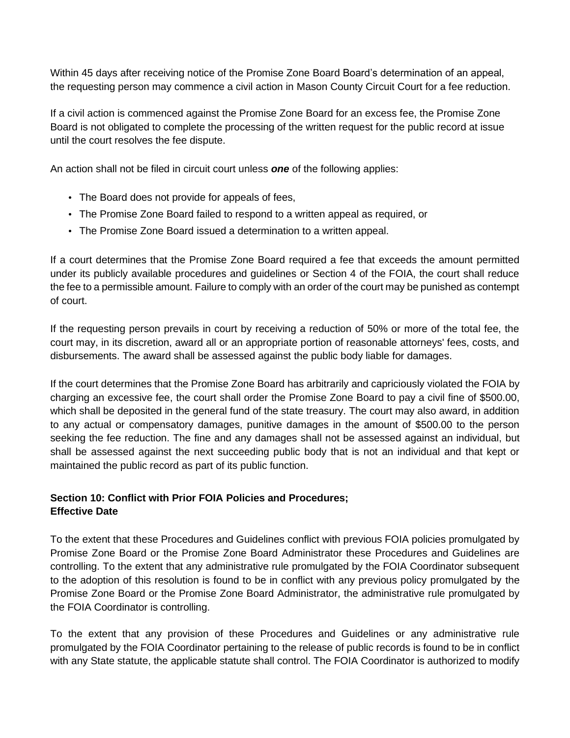Within 45 days after receiving notice of the Promise Zone Board Board's determination of an appeal, the requesting person may commence a civil action in Mason County Circuit Court for a fee reduction.

If a civil action is commenced against the Promise Zone Board for an excess fee, the Promise Zone Board is not obligated to complete the processing of the written request for the public record at issue until the court resolves the fee dispute.

An action shall not be filed in circuit court unless *one* of the following applies:

- The Board does not provide for appeals of fees,
- The Promise Zone Board failed to respond to a written appeal as required, or
- The Promise Zone Board issued a determination to a written appeal.

If a court determines that the Promise Zone Board required a fee that exceeds the amount permitted under its publicly available procedures and guidelines or Section 4 of the FOIA, the court shall reduce the fee to a permissible amount. Failure to comply with an order of the court may be punished as contempt of court.

If the requesting person prevails in court by receiving a reduction of 50% or more of the total fee, the court may, in its discretion, award all or an appropriate portion of reasonable attorneys' fees, costs, and disbursements. The award shall be assessed against the public body liable for damages.

If the court determines that the Promise Zone Board has arbitrarily and capriciously violated the FOIA by charging an excessive fee, the court shall order the Promise Zone Board to pay a civil fine of \$500.00, which shall be deposited in the general fund of the state treasury. The court may also award, in addition to any actual or compensatory damages, punitive damages in the amount of \$500.00 to the person seeking the fee reduction. The fine and any damages shall not be assessed against an individual, but shall be assessed against the next succeeding public body that is not an individual and that kept or maintained the public record as part of its public function.

## **Section 10: Conflict with Prior FOIA Policies and Procedures; Effective Date**

To the extent that these Procedures and Guidelines conflict with previous FOIA policies promulgated by Promise Zone Board or the Promise Zone Board Administrator these Procedures and Guidelines are controlling. To the extent that any administrative rule promulgated by the FOIA Coordinator subsequent to the adoption of this resolution is found to be in conflict with any previous policy promulgated by the Promise Zone Board or the Promise Zone Board Administrator, the administrative rule promulgated by the FOIA Coordinator is controlling.

To the extent that any provision of these Procedures and Guidelines or any administrative rule promulgated by the FOIA Coordinator pertaining to the release of public records is found to be in conflict with any State statute, the applicable statute shall control. The FOIA Coordinator is authorized to modify